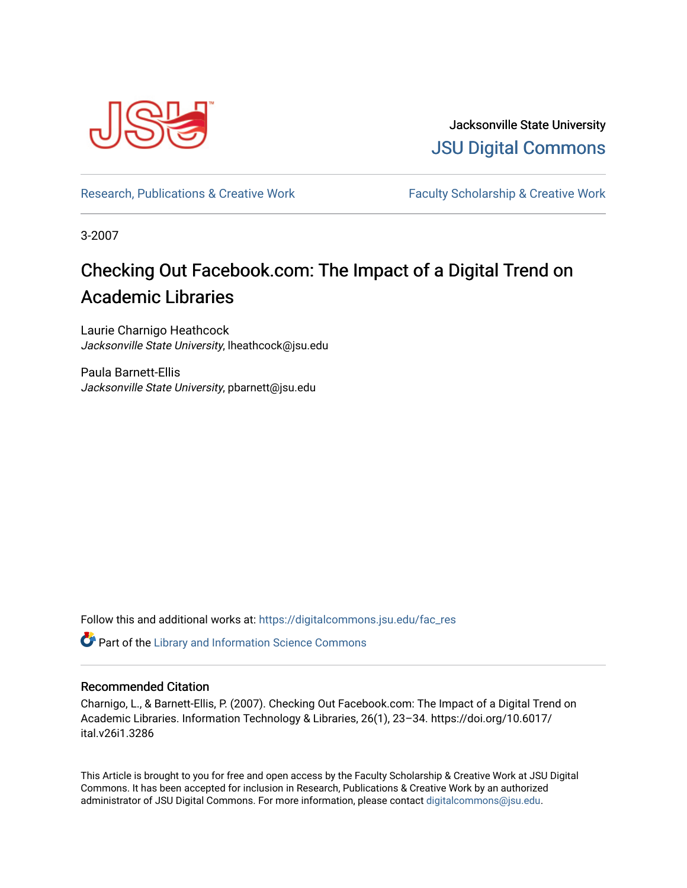

Jacksonville State University [JSU Digital Commons](https://digitalcommons.jsu.edu/) 

[Research, Publications & Creative Work](https://digitalcommons.jsu.edu/fac_res) Faculty Scholarship & Creative Work

3-2007

# Checking Out Facebook.com: The Impact of a Digital Trend on Academic Libraries

Laurie Charnigo Heathcock Jacksonville State University, lheathcock@jsu.edu

Paula Barnett-Ellis Jacksonville State University, pbarnett@jsu.edu

Follow this and additional works at: [https://digitalcommons.jsu.edu/fac\\_res](https://digitalcommons.jsu.edu/fac_res?utm_source=digitalcommons.jsu.edu%2Ffac_res%2F5&utm_medium=PDF&utm_campaign=PDFCoverPages) 

**C** Part of the Library and Information Science Commons

### Recommended Citation

Charnigo, L., & Barnett-Ellis, P. (2007). Checking Out Facebook.com: The Impact of a Digital Trend on Academic Libraries. Information Technology & Libraries, 26(1), 23–34. https://doi.org/10.6017/ ital.v26i1.3286

This Article is brought to you for free and open access by the Faculty Scholarship & Creative Work at JSU Digital Commons. It has been accepted for inclusion in Research, Publications & Creative Work by an authorized administrator of JSU Digital Commons. For more information, please contact [digitalcommons@jsu.edu.](mailto:digitalcommons@jsu.edu)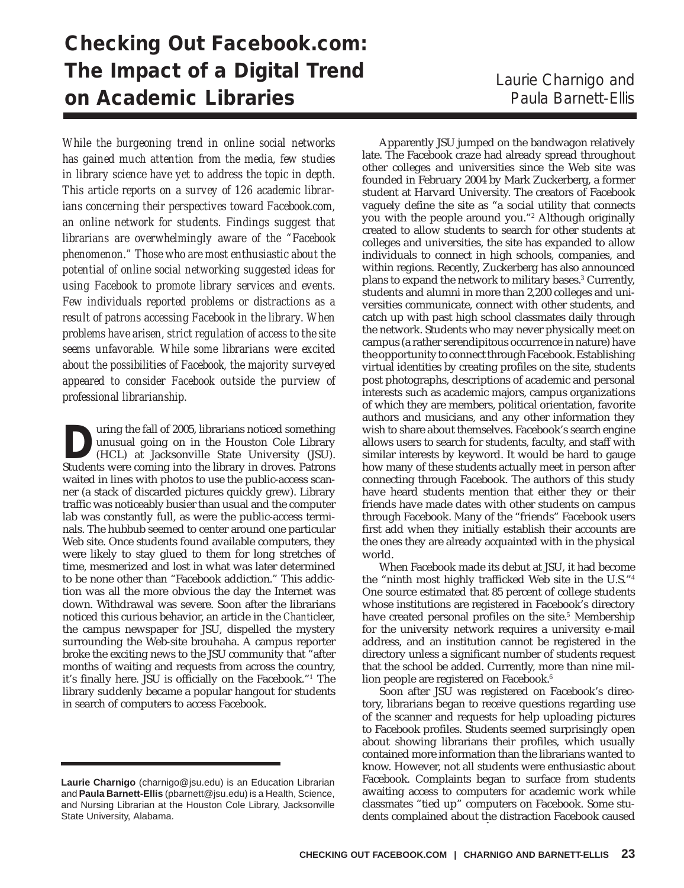# **Checking Out Facebook.com: The Impact of a Digital Trend on Academic Libraries**

*While the burgeoning trend in online social networks has gained much attention from the media, few studies in library science have yet to address the topic in depth. This article reports on a survey of 126 academic librarians concerning their perspectives toward Facebook.com, an online network for students. Findings suggest that librarians are overwhelmingly aware of the "Facebook phenomenon." Those who are most enthusiastic about the potential of online social networking suggested ideas for using Facebook to promote library services and events. Few individuals reported problems or distractions as a result of patrons accessing Facebook in the library. When problems have arisen, strict regulation of access to the site seems unfavorable. While some librarians were excited about the possibilities of Facebook, the majority surveyed appeared to consider Facebook outside the purview of professional librarianship.*

Ultima the fall of 2005, librarians noticed something<br>unusual going on in the Houston Cole Library<br>(HCL) at Jacksonville State University (JSU). unusual going on in the Houston Cole Library (HCL) at Jacksonville State University (JSU). Students were coming into the library in droves. Patrons waited in lines with photos to use the public-access scanner (a stack of discarded pictures quickly grew). Library traffic was noticeably busier than usual and the computer lab was constantly full, as were the public-access terminals. The hubbub seemed to center around one particular Web site. Once students found available computers, they were likely to stay glued to them for long stretches of time, mesmerized and lost in what was later determined to be none other than "Facebook addiction." This addiction was all the more obvious the day the Internet was down. Withdrawal was severe. Soon after the librarians noticed this curious behavior, an article in the *Chanticleer,* the campus newspaper for JSU, dispelled the mystery surrounding the Web-site brouhaha. A campus reporter broke the exciting news to the JSU community that "after months of waiting and requests from across the country, it's finally here. JSU is officially on the Facebook."<sup>1</sup> The library suddenly became a popular hangout for students in search of computers to access Facebook.

Apparently JSU jumped on the bandwagon relatively late. The Facebook craze had already spread throughout other colleges and universities since the Web site was founded in February 2004 by Mark Zuckerberg, a former student at Harvard University. The creators of Facebook vaguely define the site as "a social utility that connects you with the people around you."<sup>2</sup> Although originally created to allow students to search for other students at colleges and universities, the site has expanded to allow individuals to connect in high schools, companies, and within regions. Recently, Zuckerberg has also announced plans to expand the network to military bases.<sup>3</sup> Currently, students and alumni in more than 2,200 colleges and universities communicate, connect with other students, and catch up with past high school classmates daily through the network. Students who may never physically meet on campus (a rather serendipitous occurrence in nature) have the opportunity to connect through Facebook. Establishing virtual identities by creating profiles on the site, students post photographs, descriptions of academic and personal interests such as academic majors, campus organizations of which they are members, political orientation, favorite authors and musicians, and any other information they wish to share about themselves. Facebook's search engine allows users to search for students, faculty, and staff with similar interests by keyword. It would be hard to gauge how many of these students actually meet in person after connecting through Facebook. The authors of this study have heard students mention that either they or their friends have made dates with other students on campus through Facebook. Many of the "friends" Facebook users first add when they initially establish their accounts are the ones they are already acquainted with in the physical world.

When Facebook made its debut at JSU, it had become the "ninth most highly trafficked Web site in the U.S."<sup>4</sup> One source estimated that 85 percent of college students whose institutions are registered in Facebook's directory have created personal profiles on the site.<sup>5</sup> Membership for the university network requires a university e-mail address, and an institution cannot be registered in the directory unless a significant number of students request that the school be added. Currently, more than nine million people are registered on Facebook.<sup>6</sup>

dents complained about the distraction Facebook caused Soon after JSU was registered on Facebook's directory, librarians began to receive questions regarding use of the scanner and requests for help uploading pictures to Facebook profiles. Students seemed surprisingly open about showing librarians their profiles, which usually contained more information than the librarians wanted to know. However, not all students were enthusiastic about Facebook. Complaints began to surface from students awaiting access to computers for academic work while classmates "tied up" computers on Facebook. Some stu-

**Laurie Charnigo** (charnigo@jsu.edu) is an Education Librarian and **Paula Barnett-Ellis** (pbarnett@jsu.edu) is a Health, Science, and Nursing Librarian at the Houston Cole Library, Jacksonville State University, Alabama.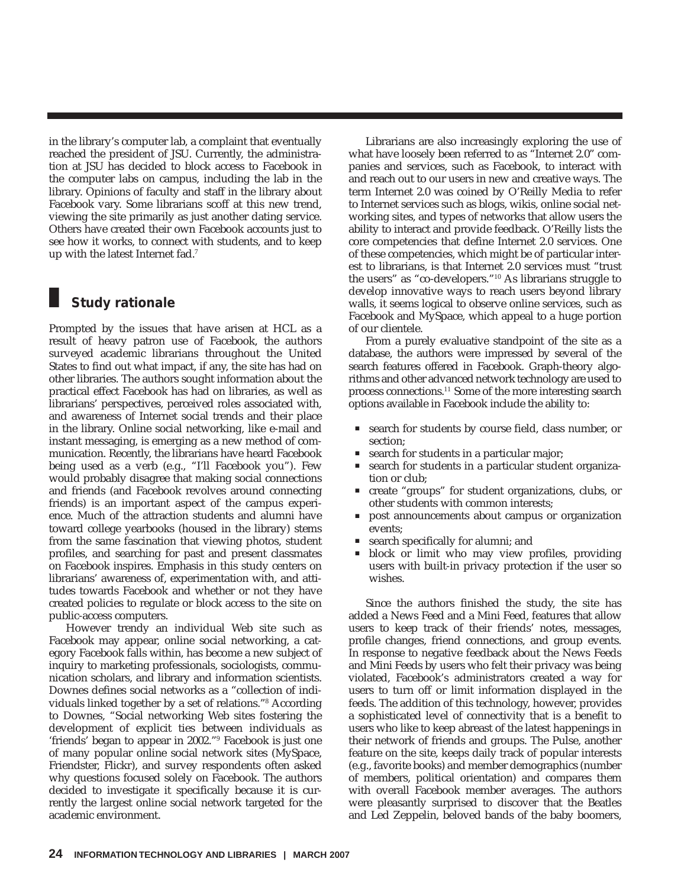in the library's computer lab, a complaint that eventually reached the president of JSU. Currently, the administration at JSU has decided to block access to Facebook in the computer labs on campus, including the lab in the library. Opinions of faculty and staff in the library about Facebook vary. Some librarians scoff at this new trend, viewing the site primarily as just another dating service. Others have created their own Facebook accounts just to see how it works, to connect with students, and to keep up with the latest Internet fad.<sup>7</sup>

# **Study rationale**

Prompted by the issues that have arisen at HCL as a result of heavy patron use of Facebook, the authors surveyed academic librarians throughout the United States to find out what impact, if any, the site has had on other libraries. The authors sought information about the practical effect Facebook has had on libraries, as well as librarians' perspectives, perceived roles associated with, and awareness of Internet social trends and their place in the library. Online social networking, like e-mail and instant messaging, is emerging as a new method of communication. Recently, the librarians have heard Facebook being used as a verb (e.g., "I'll Facebook you"). Few would probably disagree that making social connections and friends (and Facebook revolves around connecting friends) is an important aspect of the campus experience. Much of the attraction students and alumni have toward college yearbooks (housed in the library) stems from the same fascination that viewing photos, student profiles, and searching for past and present classmates on Facebook inspires. Emphasis in this study centers on librarians' awareness of, experimentation with, and attitudes towards Facebook and whether or not they have created policies to regulate or block access to the site on public-access computers.

However trendy an individual Web site such as Facebook may appear, online social networking, a category Facebook falls within, has become a new subject of inquiry to marketing professionals, sociologists, communication scholars, and library and information scientists. Downes defines social networks as a "collection of individuals linked together by a set of relations."<sup>8</sup> According to Downes, "Social networking Web sites fostering the development of explicit ties between individuals as 'friends' began to appear in 2002."<sup>9</sup> Facebook is just one of many popular online social network sites (MySpace, Friendster, Flickr), and survey respondents often asked why questions focused solely on Facebook. The authors decided to investigate it specifically because it is currently the largest online social network targeted for the academic environment.

Librarians are also increasingly exploring the use of what have loosely been referred to as "Internet 2.0" companies and services, such as Facebook, to interact with and reach out to our users in new and creative ways. The term Internet 2.0 was coined by O'Reilly Media to refer to Internet services such as blogs, wikis, online social networking sites, and types of networks that allow users the ability to interact and provide feedback. O'Reilly lists the core competencies that define Internet 2.0 services. One of these competencies, which might be of particular interest to librarians, is that Internet 2.0 services must "trust the users" as "co-developers."<sup>10</sup> As librarians struggle to develop innovative ways to reach users beyond library walls, it seems logical to observe online services, such as Facebook and MySpace, which appeal to a huge portion of our clientele.

From a purely evaluative standpoint of the site as a database, the authors were impressed by several of the search features offered in Facebook. Graph-theory algorithms and other advanced network technology are used to process connections.<sup>11</sup> Some of the more interesting search options available in Facebook include the ability to:

- search for students by course field, class number, or section;
- search for students in a particular major;
- search for students in a particular student organization or club;
- create "groups" for student organizations, clubs, or other students with common interests;
- post announcements about campus or organization events;
- search specifically for alumni; and
- block or limit who may view profiles, providing users with built-in privacy protection if the user so wishes.

Since the authors finished the study, the site has added a News Feed and a Mini Feed, features that allow users to keep track of their friends' notes, messages, profile changes, friend connections, and group events. In response to negative feedback about the News Feeds and Mini Feeds by users who felt their privacy was being violated, Facebook's administrators created a way for users to turn off or limit information displayed in the feeds. The addition of this technology, however, provides a sophisticated level of connectivity that is a benefit to users who like to keep abreast of the latest happenings in their network of friends and groups. The Pulse, another feature on the site, keeps daily track of popular interests (e.g., favorite books) and member demographics (number of members, political orientation) and compares them with overall Facebook member averages. The authors were pleasantly surprised to discover that the Beatles and Led Zeppelin, beloved bands of the baby boomers,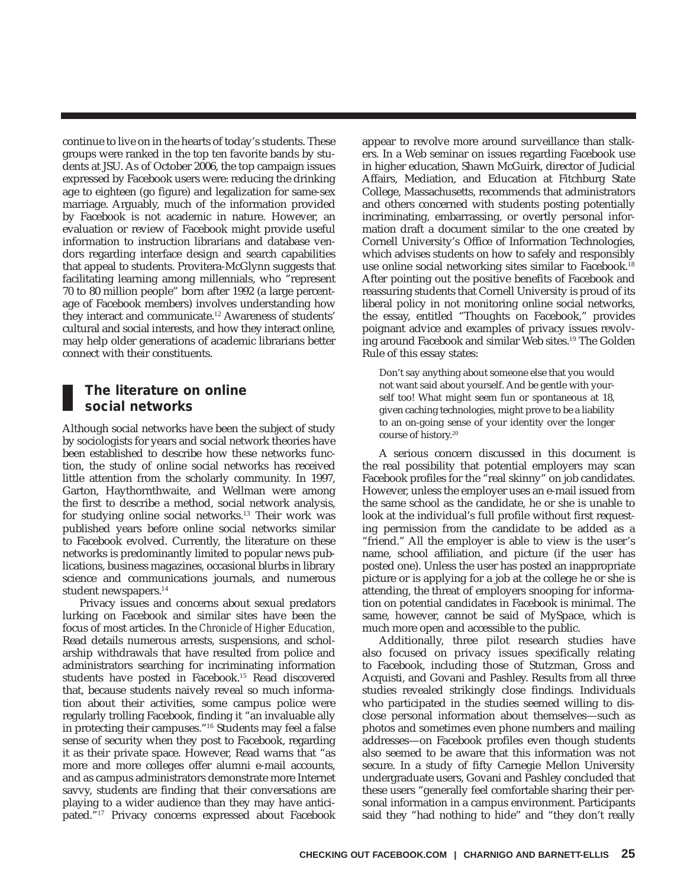continue to live on in the hearts of today's students. These groups were ranked in the top ten favorite bands by students at JSU. As of October 2006, the top campaign issues expressed by Facebook users were: reducing the drinking age to eighteen (go figure) and legalization for same-sex marriage. Arguably, much of the information provided by Facebook is not academic in nature. However, an evaluation or review of Facebook might provide useful information to instruction librarians and database vendors regarding interface design and search capabilities that appeal to students. Provitera-McGlynn suggests that facilitating learning among millennials, who "represent 70 to 80 million people" born after 1992 (a large percentage of Facebook members) involves understanding how they interact and communicate.<sup>12</sup> Awareness of students' cultural and social interests, and how they interact online, may help older generations of academic librarians better connect with their constituents.

### **The literature on online social networks**

Although social networks have been the subject of study by sociologists for years and social network theories have been established to describe how these networks function, the study of online social networks has received little attention from the scholarly community. In 1997, Garton, Haythornthwaite, and Wellman were among the first to describe a method, social network analysis, for studying online social networks.<sup>13</sup> Their work was published years before online social networks similar to Facebook evolved. Currently, the literature on these networks is predominantly limited to popular news publications, business magazines, occasional blurbs in library science and communications journals, and numerous student newspapers.<sup>14</sup>

Privacy issues and concerns about sexual predators lurking on Facebook and similar sites have been the focus of most articles. In the *Chronicle of Higher Education,* Read details numerous arrests, suspensions, and scholarship withdrawals that have resulted from police and administrators searching for incriminating information students have posted in Facebook.<sup>15</sup> Read discovered that, because students naively reveal so much information about their activities, some campus police were regularly trolling Facebook, finding it "an invaluable ally in protecting their campuses."<sup>16</sup> Students may feel a false sense of security when they post to Facebook, regarding it as their private space. However, Read warns that "as more and more colleges offer alumni e-mail accounts, and as campus administrators demonstrate more Internet savvy, students are finding that their conversations are playing to a wider audience than they may have anticipated."<sup>17</sup> Privacy concerns expressed about Facebook

appear to revolve more around surveillance than stalkers. In a Web seminar on issues regarding Facebook use in higher education, Shawn McGuirk, director of Judicial Affairs, Mediation, and Education at Fitchburg State College, Massachusetts, recommends that administrators and others concerned with students posting potentially incriminating, embarrassing, or overtly personal information draft a document similar to the one created by Cornell University's Office of Information Technologies, which advises students on how to safely and responsibly use online social networking sites similar to Facebook.<sup>18</sup> After pointing out the positive benefits of Facebook and reassuring students that Cornell University is proud of its liberal policy in not monitoring online social networks, the essay, entitled "Thoughts on Facebook," provides poignant advice and examples of privacy issues revolving around Facebook and similar Web sites.<sup>19</sup> The Golden Rule of this essay states:

Don't say anything about someone else that you would not want said about yourself. And be gentle with yourself too! What might seem fun or spontaneous at 18, given caching technologies, might prove to be a liability to an on-going sense of your identity over the longer course of history.<sup>20</sup>

A serious concern discussed in this document is the real possibility that potential employers may scan Facebook profiles for the "real skinny" on job candidates. However, unless the employer uses an e-mail issued from the same school as the candidate, he or she is unable to look at the individual's full profile without first requesting permission from the candidate to be added as a "friend." All the employer is able to view is the user's name, school affiliation, and picture (if the user has posted one). Unless the user has posted an inappropriate picture or is applying for a job at the college he or she is attending, the threat of employers snooping for information on potential candidates in Facebook is minimal. The same, however, cannot be said of MySpace, which is much more open and accessible to the public.

Additionally, three pilot research studies have also focused on privacy issues specifically relating to Facebook, including those of Stutzman, Gross and Acquisti, and Govani and Pashley. Results from all three studies revealed strikingly close findings. Individuals who participated in the studies seemed willing to disclose personal information about themselves—such as photos and sometimes even phone numbers and mailing addresses—on Facebook profiles even though students also seemed to be aware that this information was not secure. In a study of fifty Carnegie Mellon University undergraduate users, Govani and Pashley concluded that these users "generally feel comfortable sharing their personal information in a campus environment. Participants said they "had nothing to hide" and "they don't really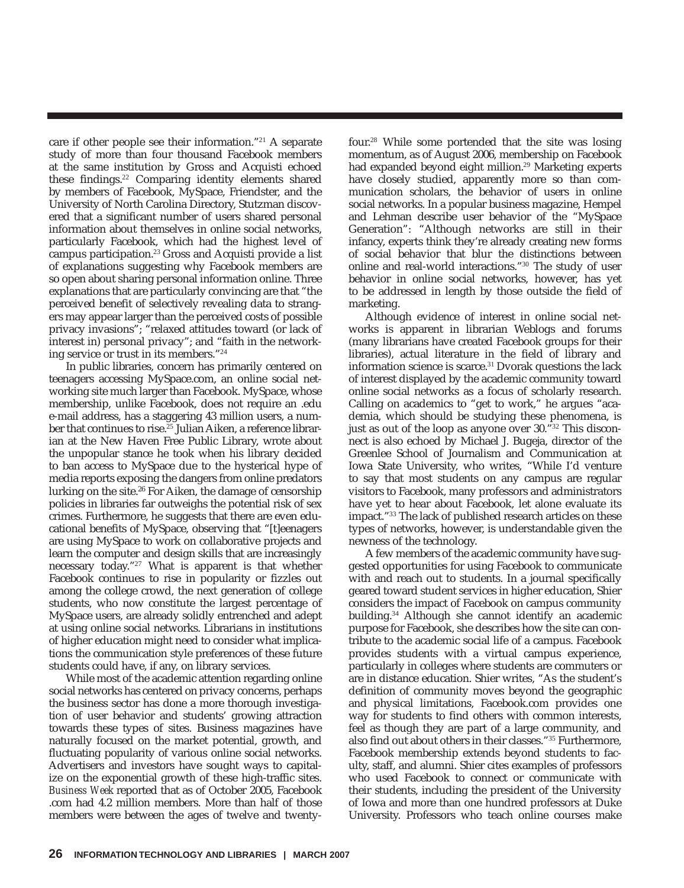care if other people see their information."<sup>21</sup> A separate study of more than four thousand Facebook members at the same institution by Gross and Acquisti echoed these findings.<sup>22</sup> Comparing identity elements shared by members of Facebook, MySpace, Friendster, and the University of North Carolina Directory, Stutzman discovered that a significant number of users shared personal information about themselves in online social networks, particularly Facebook, which had the highest level of campus participation.<sup>23</sup>Gross and Acquisti provide a list of explanations suggesting why Facebook members are so open about sharing personal information online. Three explanations that are particularly convincing are that "the perceived benefit of selectively revealing data to strangers may appear larger than the perceived costs of possible privacy invasions"; "relaxed attitudes toward (or lack of interest in) personal privacy"; and "faith in the networking service or trust in its members." $^{24}$ 

In public libraries, concern has primarily centered on teenagers accessing MySpace.com, an online social networking site much larger than Facebook. MySpace, whose membership, unlike Facebook, does not require an .edu e-mail address, has a staggering 43 million users, a number that continues to rise.<sup>25</sup> Julian Aiken, a reference librarian at the New Haven Free Public Library, wrote about the unpopular stance he took when his library decided to ban access to MySpace due to the hysterical hype of media reports exposing the dangers from online predators lurking on the site.26 For Aiken, the damage of censorship policies in libraries far outweighs the potential risk of sex crimes. Furthermore, he suggests that there are even educational benefits of MySpace, observing that "[t]eenagers are using MySpace to work on collaborative projects and learn the computer and design skills that are increasingly necessary today."<sup>27</sup> What is apparent is that whether Facebook continues to rise in popularity or fizzles out among the college crowd, the next generation of college students, who now constitute the largest percentage of MySpace users, are already solidly entrenched and adept at using online social networks. Librarians in institutions of higher education might need to consider what implications the communication style preferences of these future students could have, if any, on library services.

While most of the academic attention regarding online social networks has centered on privacy concerns, perhaps the business sector has done a more thorough investigation of user behavior and students' growing attraction towards these types of sites. Business magazines have naturally focused on the market potential, growth, and fluctuating popularity of various online social networks. Advertisers and investors have sought ways to capitalize on the exponential growth of these high-traffic sites. *Business Week* reported that as of October 2005, Facebook .com had 4.2 million members. More than half of those members were between the ages of twelve and twenty-

four.<sup>28</sup> While some portended that the site was losing momentum, as of August 2006, membership on Facebook had expanded beyond eight million.<sup>29</sup> Marketing experts have closely studied, apparently more so than communication scholars, the behavior of users in online social networks. In a popular business magazine, Hempel and Lehman describe user behavior of the "MySpace Generation": "Although networks are still in their infancy, experts think they're already creating new forms of social behavior that blur the distinctions between online and real-world interactions."<sup>30</sup> The study of user behavior in online social networks, however, has yet to be addressed in length by those outside the field of marketing.

Although evidence of interest in online social networks is apparent in librarian Weblogs and forums (many librarians have created Facebook groups for their libraries), actual literature in the field of library and information science is scarce.<sup>31</sup> Dvorak questions the lack of interest displayed by the academic community toward online social networks as a focus of scholarly research. Calling on academics to "get to work," he argues "academia, which should be studying these phenomena, is just as out of the loop as anyone over 30."<sup>32</sup> This disconnect is also echoed by Michael J. Bugeja, director of the Greenlee School of Journalism and Communication at Iowa State University, who writes, "While I'd venture to say that most students on any campus are regular visitors to Facebook, many professors and administrators have yet to hear about Facebook, let alone evaluate its impact."<sup>33</sup> The lack of published research articles on these types of networks, however, is understandable given the newness of the technology.

A few members of the academic community have suggested opportunities for using Facebook to communicate with and reach out to students. In a journal specifically geared toward student services in higher education, Shier considers the impact of Facebook on campus community building.<sup>34</sup> Although she cannot identify an academic purpose for Facebook, she describes how the site can contribute to the academic social life of a campus. Facebook provides students with a virtual campus experience, particularly in colleges where students are commuters or are in distance education. Shier writes, "As the student's definition of community moves beyond the geographic and physical limitations, Facebook.com provides one way for students to find others with common interests, feel as though they are part of a large community, and also find out about others in their classes."<sup>35</sup> Furthermore, Facebook membership extends beyond students to faculty, staff, and alumni. Shier cites examples of professors who used Facebook to connect or communicate with their students, including the president of the University of Iowa and more than one hundred professors at Duke University. Professors who teach online courses make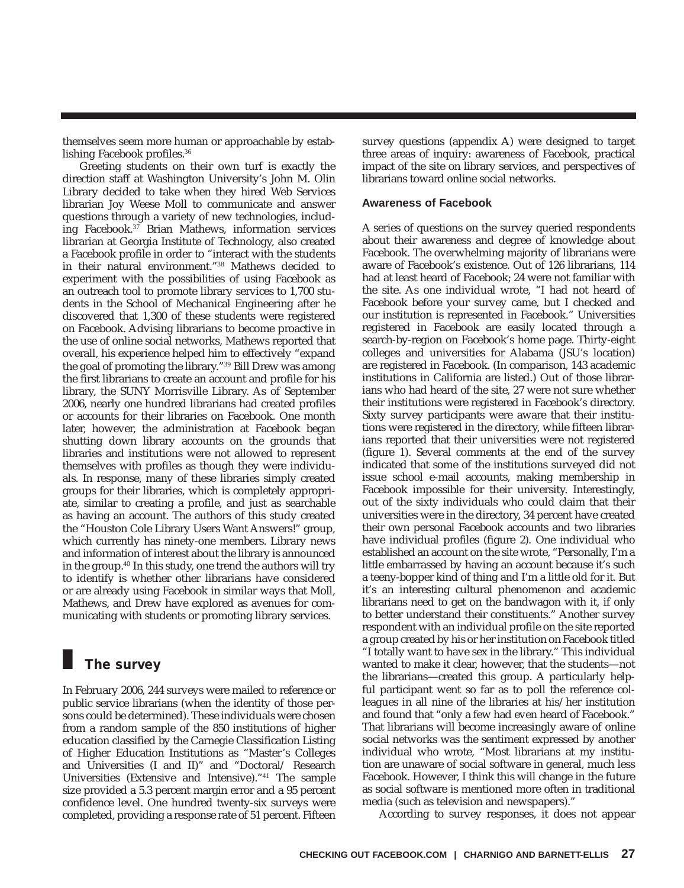themselves seem more human or approachable by establishing Facebook profiles.<sup>36</sup>

Greeting students on their own turf is exactly the direction staff at Washington University's John M. Olin Library decided to take when they hired Web Services librarian Joy Weese Moll to communicate and answer questions through a variety of new technologies, including Facebook.<sup>37</sup> Brian Mathews, information services librarian at Georgia Institute of Technology, also created a Facebook profile in order to "interact with the students in their natural environment."<sup>38</sup> Mathews decided to experiment with the possibilities of using Facebook as an outreach tool to promote library services to 1,700 students in the School of Mechanical Engineering after he discovered that 1,300 of these students were registered on Facebook. Advising librarians to become proactive in the use of online social networks, Mathews reported that overall, his experience helped him to effectively "expand the goal of promoting the library."<sup>39</sup> Bill Drew was among the first librarians to create an account and profile for his library, the SUNY Morrisville Library. As of September 2006, nearly one hundred librarians had created profiles or accounts for their libraries on Facebook. One month later, however, the administration at Facebook began shutting down library accounts on the grounds that libraries and institutions were not allowed to represent themselves with profiles as though they were individuals. In response, many of these libraries simply created groups for their libraries, which is completely appropriate, similar to creating a profile, and just as searchable as having an account. The authors of this study created the "Houston Cole Library Users Want Answers!" group, which currently has ninety-one members. Library news and information of interest about the library is announced in the group.<sup>40</sup> In this study, one trend the authors will try to identify is whether other librarians have considered or are already using Facebook in similar ways that Moll, Mathews, and Drew have explored as avenues for communicating with students or promoting library services.

# **The survey**

In February 2006, 244 surveys were mailed to reference or public service librarians (when the identity of those persons could be determined). These individuals were chosen from a random sample of the 850 institutions of higher education classified by the Carnegie Classification Listing of Higher Education Institutions as "Master's Colleges and Universities (I and II)" and "Doctoral/ Research Universities (Extensive and Intensive)."<sup>41</sup> The sample size provided a 5.3 percent margin error and a 95 percent confidence level. One hundred twenty-six surveys were completed, providing a response rate of 51 percent. Fifteen

survey questions (appendix A) were designed to target three areas of inquiry: awareness of Facebook, practical impact of the site on library services, and perspectives of librarians toward online social networks.

#### **Awareness of Facebook**

A series of questions on the survey queried respondents about their awareness and degree of knowledge about Facebook. The overwhelming majority of librarians were aware of Facebook's existence. Out of 126 librarians, 114 had at least heard of Facebook; 24 were not familiar with the site. As one individual wrote, "I had not heard of Facebook before your survey came, but I checked and our institution is represented in Facebook." Universities registered in Facebook are easily located through a search-by-region on Facebook's home page. Thirty-eight colleges and universities for Alabama (JSU's location) are registered in Facebook. (In comparison, 143 academic institutions in California are listed.) Out of those librarians who had heard of the site, 27 were not sure whether their institutions were registered in Facebook's directory. Sixty survey participants were aware that their institutions were registered in the directory, while fifteen librarians reported that their universities were not registered (figure 1). Several comments at the end of the survey indicated that some of the institutions surveyed did not issue school e-mail accounts, making membership in Facebook impossible for their university. Interestingly, out of the sixty individuals who could claim that their universities were in the directory, 34 percent have created their own personal Facebook accounts and two libraries have individual profiles (figure 2). One individual who established an account on the site wrote, "Personally, I'm a little embarrassed by having an account because it's such a teeny-bopper kind of thing and I'm a little old for it. But it's an interesting cultural phenomenon and academic librarians need to get on the bandwagon with it, if only to better understand their constituents." Another survey respondent with an individual profile on the site reported a group created by his or her institution on Facebook titled "I totally want to have sex in the library." This individual wanted to make it clear, however, that the students—not the librarians—created this group. A particularly helpful participant went so far as to poll the reference colleagues in all nine of the libraries at his/her institution and found that "only a few had even heard of Facebook." That librarians will become increasingly aware of online social networks was the sentiment expressed by another individual who wrote, "Most librarians at my institution are unaware of social software in general, much less Facebook. However, I think this will change in the future as social software is mentioned more often in traditional media (such as television and newspapers)."

According to survey responses, it does not appear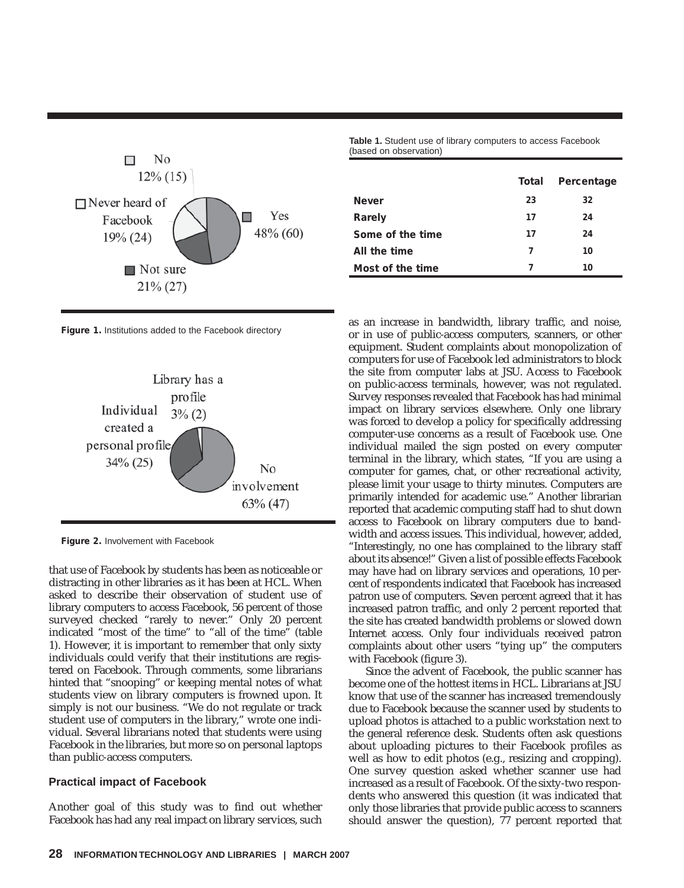

**Figure 1.** Institutions added to the Facebook directory



**Figure 2.** Involvement with Facebook

that use of Facebook by students has been as noticeable or distracting in other libraries as it has been at HCL. When asked to describe their observation of student use of library computers to access Facebook, 56 percent of those surveyed checked "rarely to never." Only 20 percent indicated "most of the time" to "all of the time" (table 1). However, it is important to remember that only sixty individuals could verify that their institutions are registered on Facebook. Through comments, some librarians hinted that "snooping" or keeping mental notes of what students view on library computers is frowned upon. It simply is not our business. "We do not regulate or track student use of computers in the library," wrote one individual. Several librarians noted that students were using Facebook in the libraries, but more so on personal laptops than public-access computers.

#### **Practical impact of Facebook**

Another goal of this study was to find out whether Facebook has had any real impact on library services, such

| Table 1. Student use of library computers to access Facebook<br>(based on observation) |       |            |  |  |  |  |
|----------------------------------------------------------------------------------------|-------|------------|--|--|--|--|
|                                                                                        | Total | Percentage |  |  |  |  |
| <b>Never</b>                                                                           | 23    | 32         |  |  |  |  |
| Rarely                                                                                 | 17    | 24         |  |  |  |  |
| Some of the time                                                                       | 17    | 24         |  |  |  |  |
| All the time                                                                           | 7     | 10         |  |  |  |  |
| Most of the time                                                                       |       | 10         |  |  |  |  |

as an increase in bandwidth, library traffic, and noise, or in use of public-access computers, scanners, or other equipment. Student complaints about monopolization of computers for use of Facebook led administrators to block the site from computer labs at JSU. Access to Facebook on public-access terminals, however, was not regulated. Survey responses revealed that Facebook has had minimal impact on library services elsewhere. Only one library was forced to develop a policy for specifically addressing computer-use concerns as a result of Facebook use. One individual mailed the sign posted on every computer terminal in the library, which states, "If you are using a computer for games, chat, or other recreational activity, please limit your usage to thirty minutes. Computers are primarily intended for academic use." Another librarian reported that academic computing staff had to shut down access to Facebook on library computers due to bandwidth and access issues. This individual, however, added, "Interestingly, no one has complained to the library staff about its absence!" Given a list of possible effects Facebook may have had on library services and operations, 10 percent of respondents indicated that Facebook has increased patron use of computers. Seven percent agreed that it has increased patron traffic, and only 2 percent reported that the site has created bandwidth problems or slowed down Internet access. Only four individuals received patron complaints about other users "tying up" the computers with Facebook (figure 3).

Since the advent of Facebook, the public scanner has become one of the hottest items in HCL. Librarians at JSU know that use of the scanner has increased tremendously due to Facebook because the scanner used by students to upload photos is attached to a public workstation next to the general reference desk. Students often ask questions about uploading pictures to their Facebook profiles as well as how to edit photos (e.g., resizing and cropping). One survey question asked whether scanner use had increased as a result of Facebook. Of the sixty-two respondents who answered this question (it was indicated that only those libraries that provide public access to scanners should answer the question), 77 percent reported that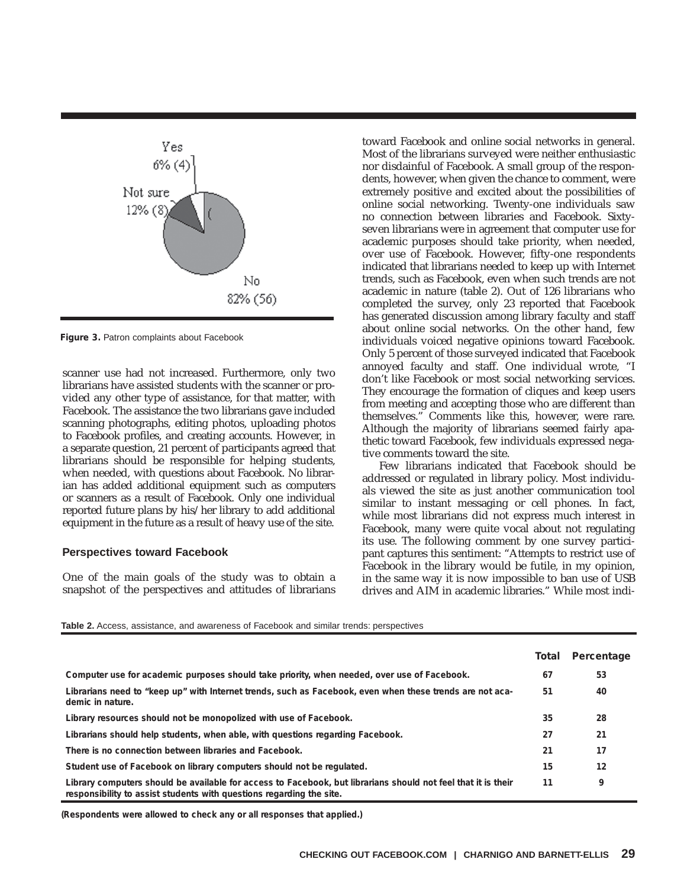

**Figure 3.** Patron complaints about Facebook

scanner use had not increased. Furthermore, only two librarians have assisted students with the scanner or provided any other type of assistance, for that matter, with Facebook. The assistance the two librarians gave included scanning photographs, editing photos, uploading photos to Facebook profiles, and creating accounts. However, in a separate question, 21 percent of participants agreed that librarians should be responsible for helping students, when needed, with questions about Facebook. No librarian has added additional equipment such as computers or scanners as a result of Facebook. Only one individual reported future plans by his/her library to add additional equipment in the future as a result of heavy use of the site.

#### **Perspectives toward Facebook**

One of the main goals of the study was to obtain a snapshot of the perspectives and attitudes of librarians

toward Facebook and online social networks in general. Most of the librarians surveyed were neither enthusiastic nor disdainful of Facebook. A small group of the respondents, however, when given the chance to comment, were extremely positive and excited about the possibilities of online social networking. Twenty-one individuals saw no connection between libraries and Facebook. Sixtyseven librarians were in agreement that computer use for academic purposes should take priority, when needed, over use of Facebook. However, fifty-one respondents indicated that librarians needed to keep up with Internet trends, such as Facebook, even when such trends are not academic in nature (table 2). Out of 126 librarians who completed the survey, only 23 reported that Facebook has generated discussion among library faculty and staff about online social networks. On the other hand, few individuals voiced negative opinions toward Facebook. Only 5 percent of those surveyed indicated that Facebook annoyed faculty and staff. One individual wrote, "I don't like Facebook or most social networking services. They encourage the formation of cliques and keep users from meeting and accepting those who are different than themselves." Comments like this, however, were rare. Although the majority of librarians seemed fairly apathetic toward Facebook, few individuals expressed negative comments toward the site.

Few librarians indicated that Facebook should be addressed or regulated in library policy. Most individuals viewed the site as just another communication tool similar to instant messaging or cell phones. In fact, while most librarians did not express much interest in Facebook, many were quite vocal about not regulating its use. The following comment by one survey participant captures this sentiment: "Attempts to restrict use of Facebook in the library would be futile, in my opinion, in the same way it is now impossible to ban use of USB drives and AIM in academic libraries." While most indi-

|  |  |  |  | Table 2. Access, assistance, and awareness of Facebook and similar trends: perspectives |  |  |  |  |  |  |
|--|--|--|--|-----------------------------------------------------------------------------------------|--|--|--|--|--|--|
|--|--|--|--|-----------------------------------------------------------------------------------------|--|--|--|--|--|--|

|                                                                                                                                                                                       | Total | Percentage |
|---------------------------------------------------------------------------------------------------------------------------------------------------------------------------------------|-------|------------|
| Computer use for academic purposes should take priority, when needed, over use of Facebook.                                                                                           | 67    | 53         |
| Librarians need to "keep up" with Internet trends, such as Facebook, even when these trends are not aca-<br>demic in nature.                                                          | 51    | 40         |
| Library resources should not be monopolized with use of Facebook.                                                                                                                     | 35    | 28         |
| Librarians should help students, when able, with questions regarding Facebook.                                                                                                        | 27    | 21         |
| There is no connection between libraries and Facebook.                                                                                                                                | 21    | 17         |
| Student use of Facebook on library computers should not be regulated.                                                                                                                 | 15    | 12         |
| Library computers should be available for access to Facebook, but librarians should not feel that it is their<br>responsibility to assist students with questions regarding the site. | 11    | 9          |

**(Respondents were allowed to check any or all responses that applied.)**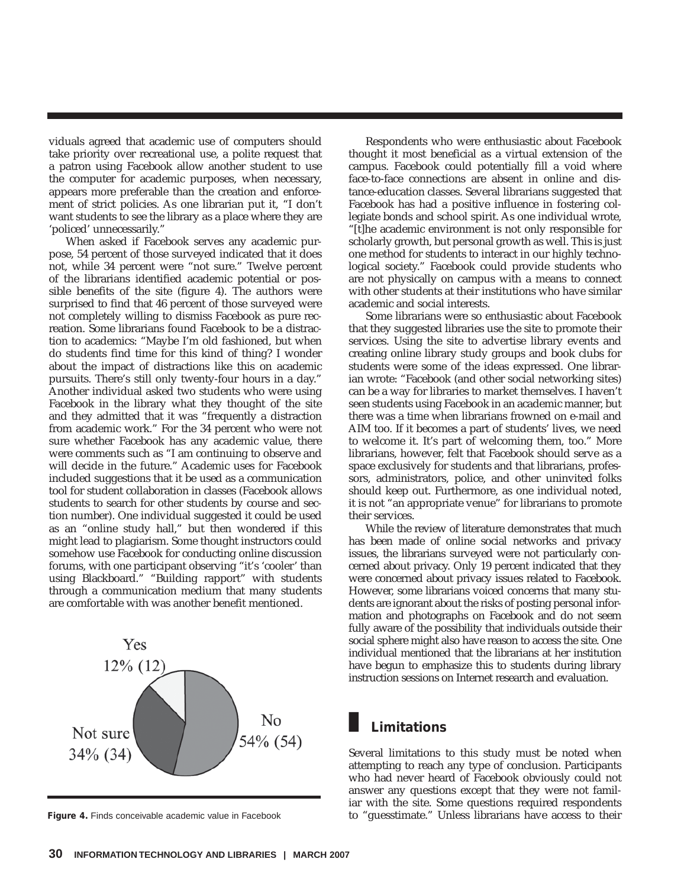viduals agreed that academic use of computers should take priority over recreational use, a polite request that a patron using Facebook allow another student to use the computer for academic purposes, when necessary, appears more preferable than the creation and enforcement of strict policies. As one librarian put it, "I don't want students to see the library as a place where they are 'policed' unnecessarily."

When asked if Facebook serves any academic purpose, 54 percent of those surveyed indicated that it does not, while 34 percent were "not sure." Twelve percent of the librarians identified academic potential or possible benefits of the site (figure 4). The authors were surprised to find that 46 percent of those surveyed were not completely willing to dismiss Facebook as pure recreation. Some librarians found Facebook to be a distraction to academics: "Maybe I'm old fashioned, but when do students find time for this kind of thing? I wonder about the impact of distractions like this on academic pursuits. There's still only twenty-four hours in a day." Another individual asked two students who were using Facebook in the library what they thought of the site and they admitted that it was "frequently a distraction from academic work." For the 34 percent who were not sure whether Facebook has any academic value, there were comments such as "I am continuing to observe and will decide in the future." Academic uses for Facebook included suggestions that it be used as a communication tool for student collaboration in classes (Facebook allows students to search for other students by course and section number). One individual suggested it could be used as an "online study hall," but then wondered if this might lead to plagiarism. Some thought instructors could somehow use Facebook for conducting online discussion forums, with one participant observing "it's 'cooler' than using Blackboard." "Building rapport" with students through a communication medium that many students are comfortable with was another benefit mentioned.



Respondents who were enthusiastic about Facebook thought it most beneficial as a virtual extension of the campus. Facebook could potentially fill a void where face-to-face connections are absent in online and distance-education classes. Several librarians suggested that Facebook has had a positive influence in fostering collegiate bonds and school spirit. As one individual wrote, "[t]he academic environment is not only responsible for scholarly growth, but personal growth as well. This is just one method for students to interact in our highly technological society." Facebook could provide students who are not physically on campus with a means to connect with other students at their institutions who have similar academic and social interests.

Some librarians were so enthusiastic about Facebook that they suggested libraries use the site to promote their services. Using the site to advertise library events and creating online library study groups and book clubs for students were some of the ideas expressed. One librarian wrote: "Facebook (and other social networking sites) can be a way for libraries to market themselves. I haven't seen students using Facebook in an academic manner, but there was a time when librarians frowned on e-mail and AIM too. If it becomes a part of students' lives, we need to welcome it. It's part of welcoming them, too." More librarians, however, felt that Facebook should serve as a space exclusively for students and that librarians, professors, administrators, police, and other uninvited folks should keep out. Furthermore, as one individual noted, it is not "an appropriate venue" for librarians to promote their services.

While the review of literature demonstrates that much has been made of online social networks and privacy issues, the librarians surveyed were not particularly concerned about privacy. Only 19 percent indicated that they were concerned about privacy issues related to Facebook. However, some librarians voiced concerns that many students are ignorant about the risks of posting personal information and photographs on Facebook and do not seem fully aware of the possibility that individuals outside their social sphere might also have reason to access the site. One individual mentioned that the librarians at her institution have begun to emphasize this to students during library instruction sessions on Internet research and evaluation.

## ■ **Limitations**

Several limitations to this study must be noted when attempting to reach any type of conclusion. Participants who had never heard of Facebook obviously could not answer any questions except that they were not familiar with the site. Some questions required respondents Figure 4. Finds conceivable academic value in Facebook to "guesstimate." Unless librarians have access to their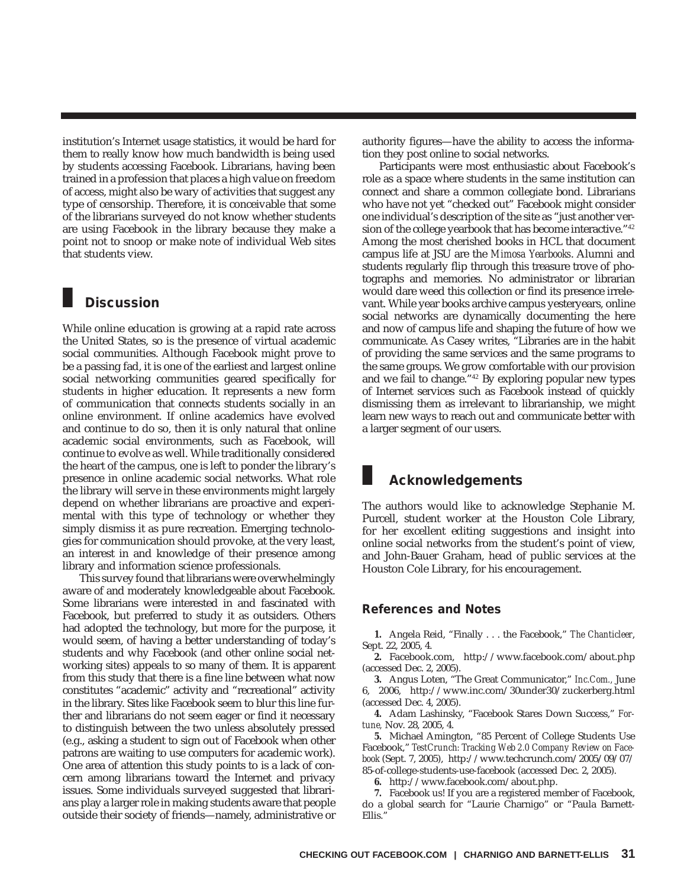institution's Internet usage statistics, it would be hard for them to really know how much bandwidth is being used by students accessing Facebook. Librarians, having been trained in a profession that places a high value on freedom of access, might also be wary of activities that suggest any type of censorship. Therefore, it is conceivable that some of the librarians surveyed do not know whether students are using Facebook in the library because they make a point not to snoop or make note of individual Web sites that students view.

# ■ **Discussion**

While online education is growing at a rapid rate across the United States, so is the presence of virtual academic social communities. Although Facebook might prove to be a passing fad, it is one of the earliest and largest online social networking communities geared specifically for students in higher education. It represents a new form of communication that connects students socially in an online environment. If online academics have evolved and continue to do so, then it is only natural that online academic social environments, such as Facebook, will continue to evolve as well. While traditionally considered the heart of the campus, one is left to ponder the library's presence in online academic social networks. What role the library will serve in these environments might largely depend on whether librarians are proactive and experimental with this type of technology or whether they simply dismiss it as pure recreation. Emerging technologies for communication should provoke, at the very least, an interest in and knowledge of their presence among library and information science professionals.

This survey found that librarians were overwhelmingly aware of and moderately knowledgeable about Facebook. Some librarians were interested in and fascinated with Facebook, but preferred to study it as outsiders. Others had adopted the technology, but more for the purpose, it would seem, of having a better understanding of today's students and why Facebook (and other online social networking sites) appeals to so many of them. It is apparent from this study that there is a fine line between what now constitutes "academic" activity and "recreational" activity in the library. Sites like Facebook seem to blur this line further and librarians do not seem eager or find it necessary to distinguish between the two unless absolutely pressed (e.g., asking a student to sign out of Facebook when other patrons are waiting to use computers for academic work). One area of attention this study points to is a lack of concern among librarians toward the Internet and privacy issues. Some individuals surveyed suggested that librarians play a larger role in making students aware that people outside their society of friends—namely, administrative or

authority figures—have the ability to access the information they post online to social networks.

Participants were most enthusiastic about Facebook's role as a space where students in the same institution can connect and share a common collegiate bond. Librarians who have not yet "checked out" Facebook might consider one individual's description of the site as "just another version of the college yearbook that has become interactive."<sup>42</sup> Among the most cherished books in HCL that document campus life at JSU are the *Mimosa Yearbooks*. Alumni and students regularly flip through this treasure trove of photographs and memories. No administrator or librarian would dare weed this collection or find its presence irrelevant. While year books archive campus yesteryears, online social networks are dynamically documenting the here and now of campus life and shaping the future of how we communicate. As Casey writes, "Libraries are in the habit of providing the same services and the same programs to the same groups. We grow comfortable with our provision and we fail to change."<sup>42</sup> By exploring popular new types of Internet services such as Facebook instead of quickly dismissing them as irrelevant to librarianship, we might learn new ways to reach out and communicate better with a larger segment of our users.

## ■ **Acknowledgements**

The authors would like to acknowledge Stephanie M. Purcell, student worker at the Houston Cole Library, for her excellent editing suggestions and insight into online social networks from the student's point of view, and John-Bauer Graham, head of public services at the Houston Cole Library, for his encouragement.

#### **References and Notes**

 **1.** Angela Reid, "Finally . . . the Facebook," *The Chanticleer*, Sept. 22, 2005, 4.

**2.** Facebook.com, http://www.facebook.com/about.php (accessed Dec. 2, 2005).

**3.** Angus Loten, "The Great Communicator," *Inc.Com.,* June 6, 2006, http://www.inc.com/30under30/zuckerberg.html (accessed Dec. 4, 2005).

**4.** Adam Lashinsky, "Facebook Stares Down Success," *Fortune,* Nov. 28, 2005, 4.

**5.** Michael Amington, "85 Percent of College Students Use Facebook," *TestCrunch: Tracking Web 2.0 Company Review on Facebook* (Sept. 7, 2005), http://www.techcrunch.com/2005/09/07/ 85-of-college-students-use-facebook (accessed Dec. 2, 2005).

**6.** http://www.facebook.com/about.php.

**7.** Facebook us! If you are a registered member of Facebook, do a global search for "Laurie Charnigo" or "Paula Barnett-Ellis."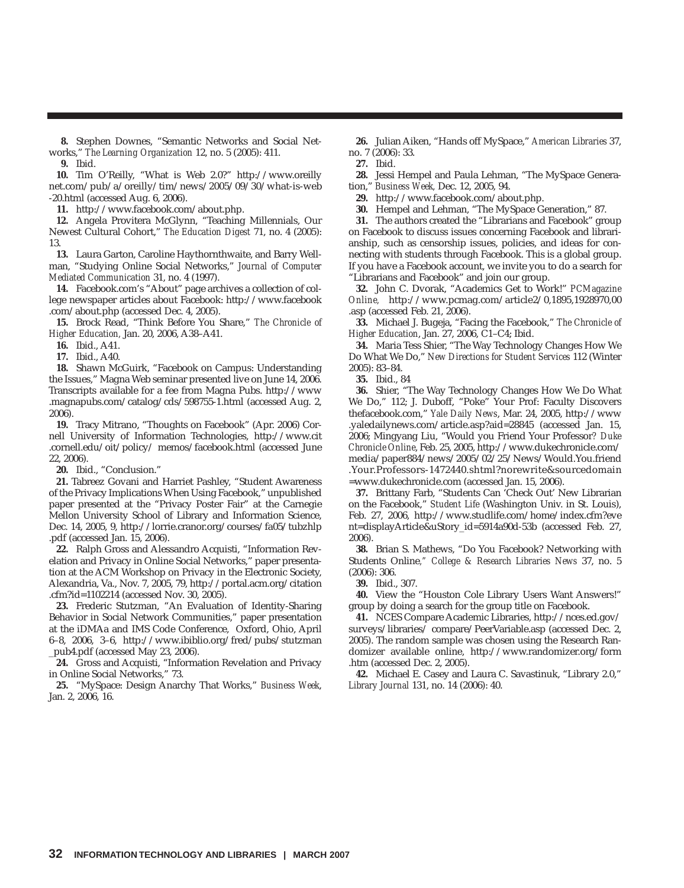**8.** Stephen Downes, "Semantic Networks and Social Networks," *The Learning Organization* 12, no. 5 (2005): 411.

**9.** Ibid.

**10.** Tim O'Reilly, "What is Web 2.0?" http://www.oreilly net.com/pub/a/oreilly/tim/news/2005/09/30/what-is-web -20.html (accessed Aug. 6, 2006).

**11.** http://www.facebook.com/about.php.

**12.** Angela Provitera McGlynn, "Teaching Millennials, Our Newest Cultural Cohort," *The Education Digest* 71, no. 4 (2005): 13.

**13.** Laura Garton, Caroline Haythornthwaite, and Barry Wellman, "Studying Online Social Networks," *Journal of Computer Mediated Communication* 31, no. 4 (1997).

**14.** Facebook.com's "About" page archives a collection of college newspaper articles about Facebook: http://www.facebook .com/about.php (accessed Dec. 4, 2005).

**15.** Brock Read, "Think Before You Share," *The Chronicle of Higher Education,* Jan. 20, 2006, A38–A41.

**16.** Ibid., A41.

**17.** Ibid., A40.

**18.** Shawn McGuirk, "Facebook on Campus: Understanding the Issues," Magna Web seminar presented live on June 14, 2006. Transcripts available for a fee from Magna Pubs. http://www .magnapubs.com/catalog/cds/598755-1.html (accessed Aug. 2, 2006).

**19.** Tracy Mitrano, "Thoughts on Facebook" (Apr. 2006) Cornell University of Information Technologies, http://www.cit .cornell.edu/oit/policy/ memos/facebook.html (accessed June 22, 2006).

 **20.** Ibid., "Conclusion."

 **21.** Tabreez Govani and Harriet Pashley, "Student Awareness of the Privacy Implications When Using Facebook," unpublished paper presented at the "Privacy Poster Fair" at the Carnegie Mellon University School of Library and Information Science, Dec. 14, 2005, 9, http://lorrie.cranor.org/courses/fa05/tubzhlp .pdf (accessed Jan. 15, 2006).

**22.** Ralph Gross and Alessandro Acquisti, "Information Revelation and Privacy in Online Social Networks," paper presentation at the ACM Workshop on Privacy in the Electronic Society, Alexandria, Va., Nov. 7, 2005, 79, http://portal.acm.org/citation .cfm?id=1102214 (accessed Nov. 30, 2005).

**23.** Frederic Stutzman, "An Evaluation of Identity-Sharing Behavior in Social Network Communities," paper presentation at the iDMAa and IMS Code Conference, Oxford, Ohio, April 6–8, 2006, 3–6, http://www.ibiblio.org/fred/pubs/stutzman \_pub4.pdf (accessed May 23, 2006).

**24.** Gross and Acquisti, "Information Revelation and Privacy in Online Social Networks," 73.

**25.** "MySpace: Design Anarchy That Works," *Business Week*, Jan. 2, 2006, 16.

**26.** Julian Aiken, "Hands off MySpace," *American Libraries* 37, no. 7 (2006): 33.

**27.** Ibid.

**28.** Jessi Hempel and Paula Lehman, "The MySpace Generation," *Business Week,* Dec. 12, 2005, 94.

**29.** http://www.facebook.com/about.php.

**30.** Hempel and Lehman, "The MySpace Generation," 87.

**31.** The authors created the "Librarians and Facebook" group on Facebook to discuss issues concerning Facebook and librarianship, such as censorship issues, policies, and ideas for connecting with students through Facebook. This is a global group. If you have a Facebook account, we invite you to do a search for "Librarians and Facebook" and join our group.

**32.** John C. Dvorak, "Academics Get to Work!" *PCMagazine Online,* http://www.pcmag.com/article2/0,1895,1928970,00 .asp (accessed Feb. 21, 2006).

**33.** Michael J. Bugeja, "Facing the Facebook," *The Chronicle of Higher Education*, Jan. 27, 2006, C1–C4; Ibid.

**34.** Maria Tess Shier, "The Way Technology Changes How We Do What We Do," *New Directions for Student Services* 112 (Winter 2005): 83–84.

**35.** Ibid., 84

**36.** Shier, "The Way Technology Changes How We Do What We Do," 112; J. Duboff, "Poke" Your Prof: Faculty Discovers thefacebook.com," *Yale Daily News*, Mar. 24, 2005, http://www .yaledailynews.com/article.asp?aid=28845 (accessed Jan. 15, 2006; Mingyang Liu, "Would you Friend Your Professor*? Duke Chronicle Online*, Feb. 25, 2005, http://www.dukechronicle.com/ media/paper884/news/2005/02/25/News/Would.You.friend .Your.Professors-1472440.shtml?norewrite&sourcedomain =www.dukechronicle.com (accessed Jan. 15, 2006).

**37.** Brittany Farb, "Students Can 'Check Out' New Librarian on the Facebook," *Student Life* (Washington Univ. in St. Louis), Feb. 27, 2006, http://www.studlife.com/home/index.cfm?eve nt=displayArticle&uStory\_id=5914a90d-53b (accessed Feb. 27, 2006).

**38.** Brian S. Mathews, "Do You Facebook? Networking with Students Online*," College & Research Libraries News* 37, no. 5 (2006): 306.

**39.** Ibid., 307.

**40.** View the "Houston Cole Library Users Want Answers!" group by doing a search for the group title on Facebook.

**41.** NCES Compare Academic Libraries, http://nces.ed.gov/ surveys/libraries/ compare/PeerVariable.asp (accessed Dec. 2, 2005). The random sample was chosen using the Research Randomizer available online, http://www.randomizer.org/form .htm (accessed Dec. 2, 2005).

**42.** Michael E. Casey and Laura C. Savastinuk, "Library 2.0," *Library Journal* 131, no. 14 (2006): 40.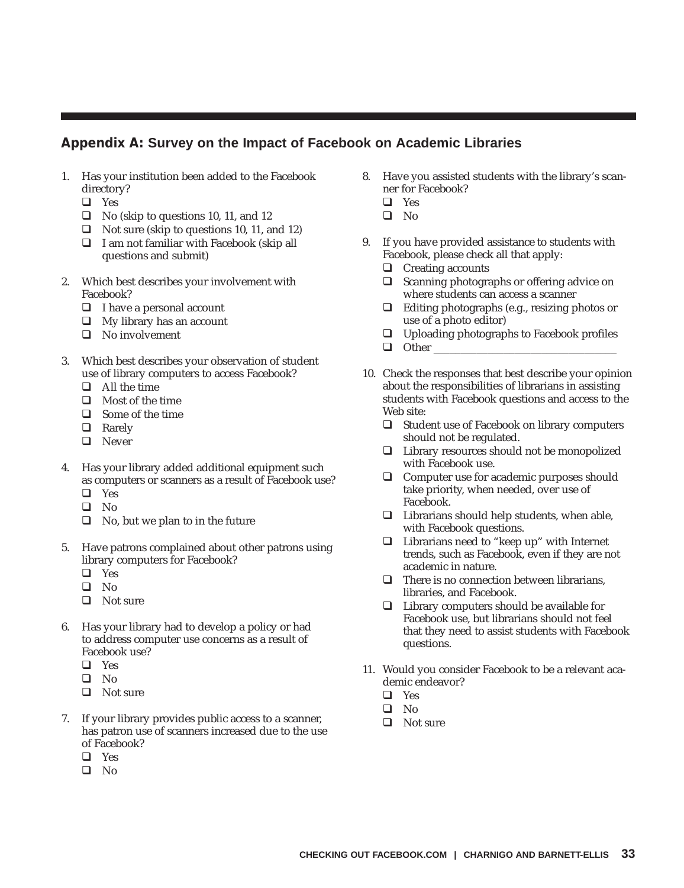### **Appendix A: Survey on the Impact of Facebook on Academic Libraries**

- 1. Has your institution been added to the Facebook directory?
	- Yes
	- □ No (skip to questions 10, 11, and 12
	- $\Box$  Not sure (skip to questions 10, 11, and 12)  $\Box$  I am not familiar with Facebook (skip all
	- questions and submit)
- 2. Which best describes your involvement with Facebook?
	- $\Box$  I have a personal account
	- $\Box$  My library has an account
	- □ No involvement
- 3. Which best describes your observation of student use of library computers to access Facebook?
	- $\Box$  All the time
	- $\Box$  Most of the time
	- □ Some of the time
	- **Q** Rarely
	- **Q** Never
- 4. Has your library added additional equipment such as computers or scanners as a result of Facebook use?
	- □ Yes
	- $\Box$  No
	- $\Box$  No, but we plan to in the future
- 5. Have patrons complained about other patrons using library computers for Facebook?
	- Yes
	- $\Box$  No
	- □ Not sure
- 6. Has your library had to develop a policy or had to address computer use concerns as a result of Facebook use?
	- Yes
	- $\Box$  No
	- □ Not sure
- 7. If your library provides public access to a scanner, has patron use of scanners increased due to the use of Facebook?
	- Yes
	- $\Box$  No
- 8. Have you assisted students with the library's scanner for Facebook?
	- □ Yes
	- $\Box$  No
- 9. If you have provided assistance to students with Facebook, please check all that apply:
	- $\Box$  Creating accounts
	- $\Box$  Scanning photographs or offering advice on where students can access a scanner
	- Editing photographs (e.g., resizing photos or use of a photo editor)
	- $\Box$  Uploading photographs to Facebook profiles
	- $\Box$  Other
- 10. Check the responses that best describe your opinion about the responsibilities of librarians in assisting students with Facebook questions and access to the Web site:
	- $\Box$  Student use of Facebook on library computers should not be regulated.
	- Library resources should not be monopolized with Facebook use.
	- □ Computer use for academic purposes should take priority, when needed, over use of Facebook.
	- $\Box$  Librarians should help students, when able, with Facebook questions.
	- Librarians need to "keep up" with Internet trends, such as Facebook, even if they are not academic in nature.
	- $\Box$  There is no connection between librarians, libraries, and Facebook.
	- $\Box$  Library computers should be available for Facebook use, but librarians should not feel that they need to assist students with Facebook questions.
- 11. Would you consider Facebook to be a relevant academic endeavor?
	- Yes
	- $\Box$  No
	- □ Not sure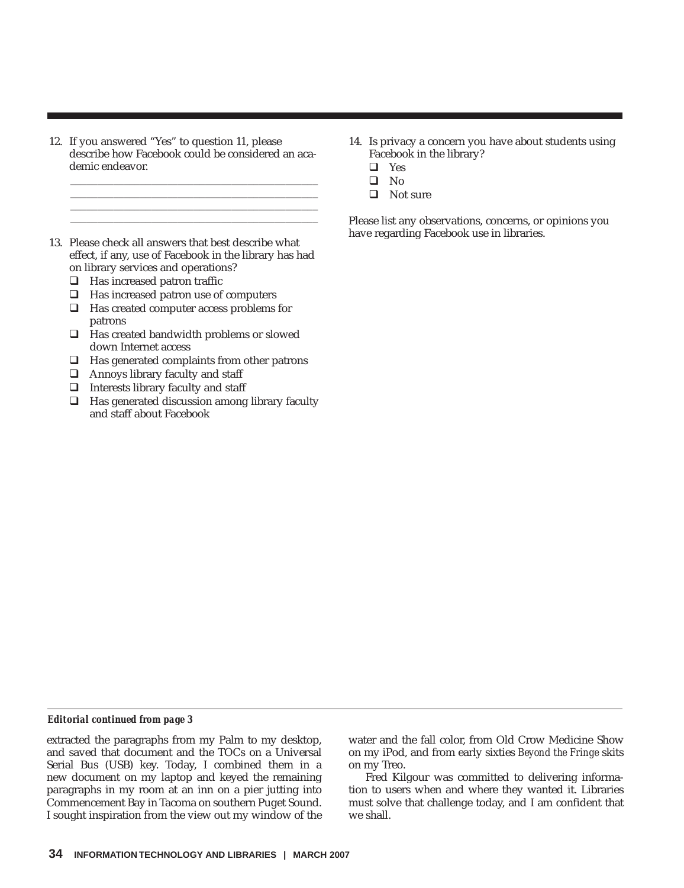12. If you answered "Yes" to question 11, please describe how Facebook could be considered an academic endeavor.

 \_\_\_\_\_\_\_\_\_\_\_\_\_\_\_\_\_\_\_\_\_\_\_\_\_\_\_\_\_\_\_\_\_\_\_\_\_\_\_\_\_\_\_\_\_\_ \_\_\_\_\_\_\_\_\_\_\_\_\_\_\_\_\_\_\_\_\_\_\_\_\_\_\_\_\_\_\_\_\_\_\_\_\_\_\_\_\_\_\_\_\_\_ \_\_\_\_\_\_\_\_\_\_\_\_\_\_\_\_\_\_\_\_\_\_\_\_\_\_\_\_\_\_\_\_\_\_\_\_\_\_\_\_\_\_\_\_\_\_ \_\_\_\_\_\_\_\_\_\_\_\_\_\_\_\_\_\_\_\_\_\_\_\_\_\_\_\_\_\_\_\_\_\_\_\_\_\_\_\_\_\_\_\_\_\_

- 13. Please check all answers that best describe what effect, if any, use of Facebook in the library has had on library services and operations?
	- $\Box$  Has increased patron traffic
	- $\Box$  Has increased patron use of computers
	- $\Box$  Has created computer access problems for patrons
	- □ Has created bandwidth problems or slowed down Internet access
	- $\Box$  Has generated complaints from other patrons
	- $\Box$  Annoys library faculty and staff
	- $\Box$  Interests library faculty and staff
	- $\Box$  Has generated discussion among library faculty and staff about Facebook
- 14. Is privacy a concern you have about students using Facebook in the library?
	- Yes
	- No
	- □ Not sure

Please list any observations, concerns, or opinions you have regarding Facebook use in libraries.

#### *Editorial continued from page 3*

extracted the paragraphs from my Palm to my desktop, and saved that document and the TOCs on a Universal Serial Bus (USB) key. Today, I combined them in a new document on my laptop and keyed the remaining paragraphs in my room at an inn on a pier jutting into Commencement Bay in Tacoma on southern Puget Sound. I sought inspiration from the view out my window of the water and the fall color, from Old Crow Medicine Show on my iPod, and from early sixties *Beyond the Fringe* skits on my Treo.

Fred Kilgour was committed to delivering information to users when and where they wanted it. Libraries must solve that challenge today, and I am confident that we shall.